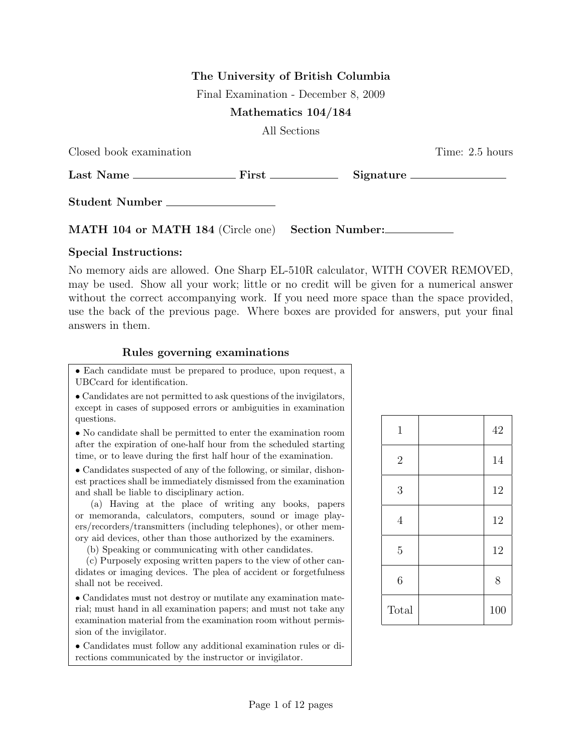## The University of British Columbia

Final Examination - December 8, 2009

## Mathematics 104/184

All Sections

| Closed book examination                           | Time: 2.5 hours |
|---------------------------------------------------|-----------------|
|                                                   |                 |
| Student Number                                    |                 |
| MATH 104 or MATH 184 (Circle one) Section Number: |                 |

## Special Instructions:

No memory aids are allowed. One Sharp EL-510R calculator, WITH COVER REMOVED, may be used. Show all your work; little or no credit will be given for a numerical answer without the correct accompanying work. If you need more space than the space provided, use the back of the previous page. Where boxes are provided for answers, put your final answers in them.

## Rules governing examinations

• Each candidate must be prepared to produce, upon request, a UBCcard for identification.

• Candidates are not permitted to ask questions of the invigilators, except in cases of supposed errors or ambiguities in examination questions.

• No candidate shall be permitted to enter the examination room after the expiration of one-half hour from the scheduled starting time, or to leave during the first half hour of the examination.

• Candidates suspected of any of the following, or similar, dishonest practices shall be immediately dismissed from the examination and shall be liable to disciplinary action.

(a) Having at the place of writing any books, papers or memoranda, calculators, computers, sound or image players/recorders/transmitters (including telephones), or other memory aid devices, other than those authorized by the examiners.

(b) Speaking or communicating with other candidates.

(c) Purposely exposing written papers to the view of other candidates or imaging devices. The plea of accident or forgetfulness shall not be received.

• Candidates must not destroy or mutilate any examination material; must hand in all examination papers; and must not take any examination material from the examination room without permission of the invigilator.

• Candidates must follow any additional examination rules or directions communicated by the instructor or invigilator.

| $1\,$            | 42  |
|------------------|-----|
| $\overline{2}$   | 14  |
| 3                | 12  |
| $\overline{4}$   | 12  |
| $\overline{5}$   | 12  |
| $\boldsymbol{6}$ | 8   |
| Total            | 100 |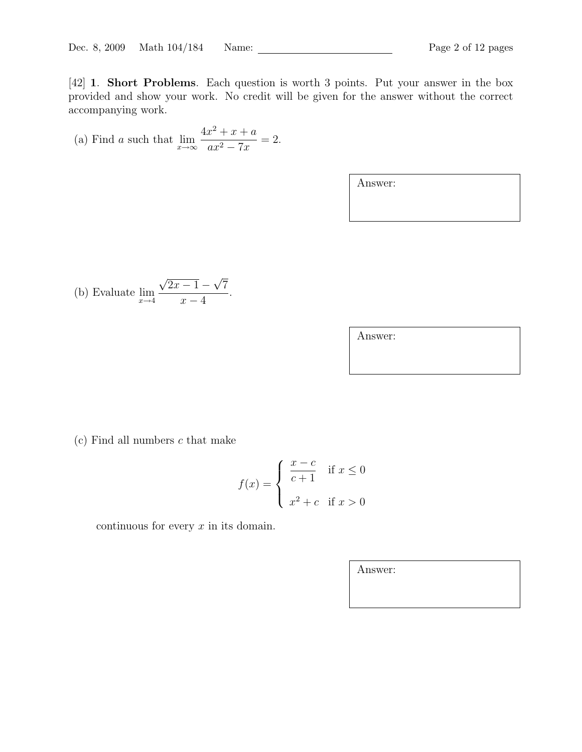[42] 1. Short Problems. Each question is worth 3 points. Put your answer in the box provided and show your work. No credit will be given for the answer without the correct accompanying work.

(a) Find a such that 
$$
\lim_{x \to \infty} \frac{4x^2 + x + a}{ax^2 - 7x} = 2.
$$

Answer:

(b) Evaluate 
$$
\lim_{x \to 4} \frac{\sqrt{2x - 1} - \sqrt{7}}{x - 4}.
$$

| Answer: |  |
|---------|--|
|---------|--|

 $(c)$  Find all numbers  $c$  that make

$$
f(x) = \begin{cases} \frac{x-c}{c+1} & \text{if } x \le 0 \\ x^2 + c & \text{if } x > 0 \end{cases}
$$

continuous for every  $x$  in its domain.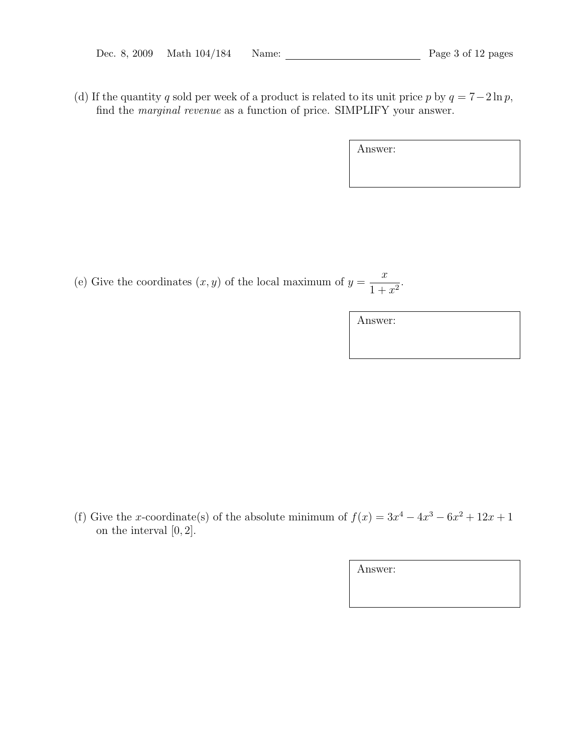| Dec. 8, 2009 | Math $104/184$ | Name: |
|--------------|----------------|-------|
|--------------|----------------|-------|

(d) If the quantity q sold per week of a product is related to its unit price p by  $q = 7-2\ln p$ , find the marginal revenue as a function of price. SIMPLIFY your answer.

| Answer: |  |  |
|---------|--|--|
|         |  |  |
|         |  |  |

(e) Give the coordinates  $(x, y)$  of the local maximum of  $y =$  $\overline{x}$  $\frac{x}{1+x^2}$ .

Answer:

(f) Give the x-coordinate(s) of the absolute minimum of  $f(x) = 3x^4 - 4x^3 - 6x^2 + 12x + 1$ on the interval [0, 2].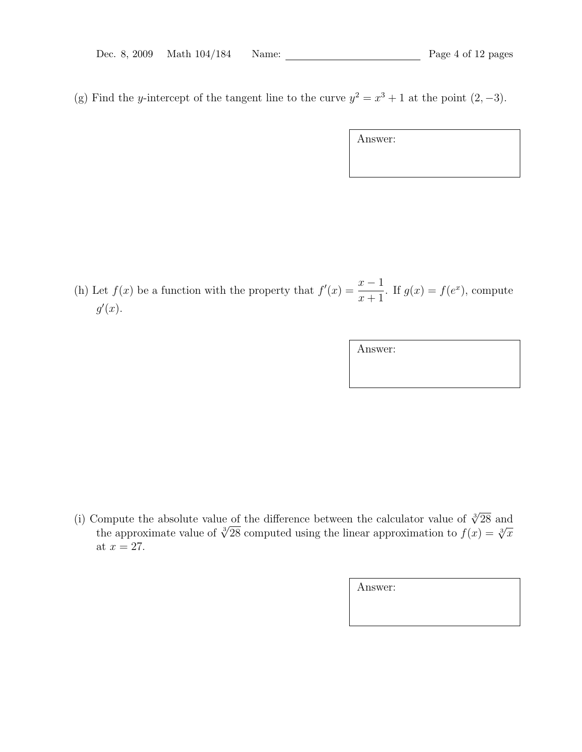(g) Find the y-intercept of the tangent line to the curve  $y^2 = x^3 + 1$  at the point  $(2, -3)$ .

Answer:

(h) Let  $f(x)$  be a function with the property that  $f'(x) = \frac{x-1}{x-1}$  $x + 1$ . If  $g(x) = f(e^x)$ , compute  $g'(x)$ .

Answer:

(i) Compute the absolute value of the difference between the calculator value of  $\sqrt[3]{28}$  and ompute the absolute value of the difference between the calculator value of  $\sqrt{28}$  and the approximation to  $f(x) = \sqrt[3]{x}$ at  $x = 27$ .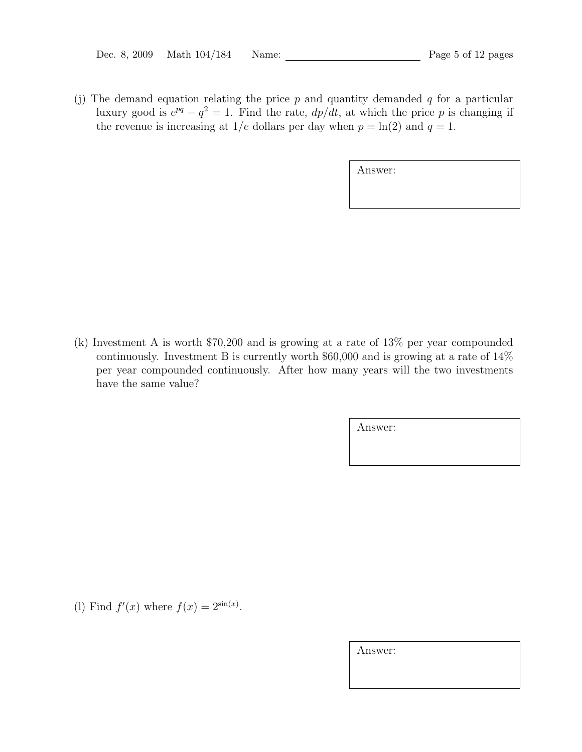(j) The demand equation relating the price  $p$  and quantity demanded  $q$  for a particular luxury good is  $e^{pq} - q^2 = 1$ . Find the rate,  $dp/dt$ , at which the price p is changing if the revenue is increasing at  $1/e$  dollars per day when  $p = \ln(2)$  and  $q = 1$ .

| Answer: |
|---------|
|---------|

(k) Investment A is worth \$70,200 and is growing at a rate of 13% per year compounded continuously. Investment B is currently worth \$60,000 and is growing at a rate of 14% per year compounded continuously. After how many years will the two investments have the same value?

Answer:

(1) Find  $f'(x)$  where  $f(x) = 2^{\sin(x)}$ .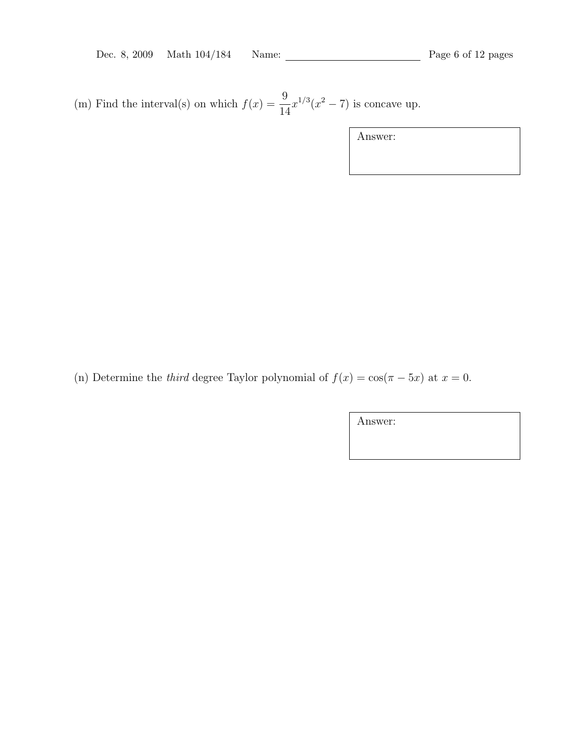(m) Find the interval(s) on which  $f(x) = \frac{9}{1}$ 14  $x^{1/3}(x^2-7)$  is concave up.

Answer:

(n) Determine the *third* degree Taylor polynomial of  $f(x) = \cos(\pi - 5x)$  at  $x = 0$ .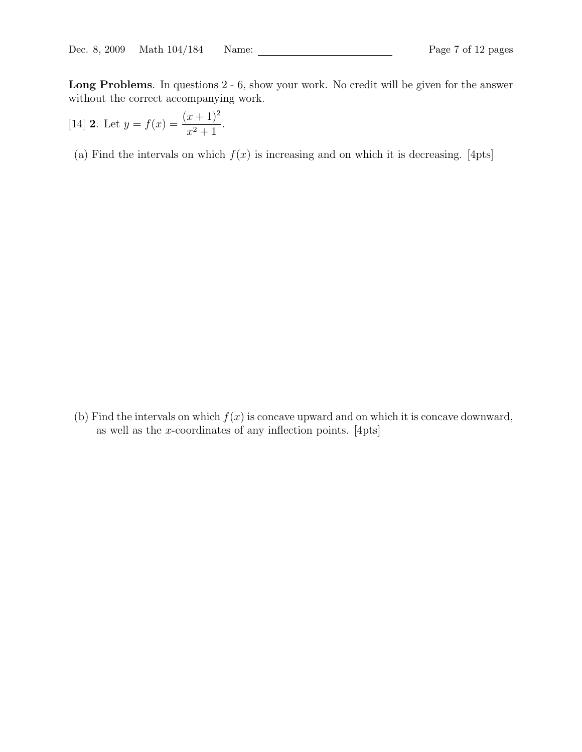Long Problems. In questions 2 - 6, show your work. No credit will be given for the answer without the correct accompanying work.

[14] **2**. Let 
$$
y = f(x) = \frac{(x+1)^2}{x^2+1}
$$
.

(a) Find the intervals on which  $f(x)$  is increasing and on which it is decreasing. [4pts]

(b) Find the intervals on which  $f(x)$  is concave upward and on which it is concave downward, as well as the x-coordinates of any inflection points.  $[4pts]$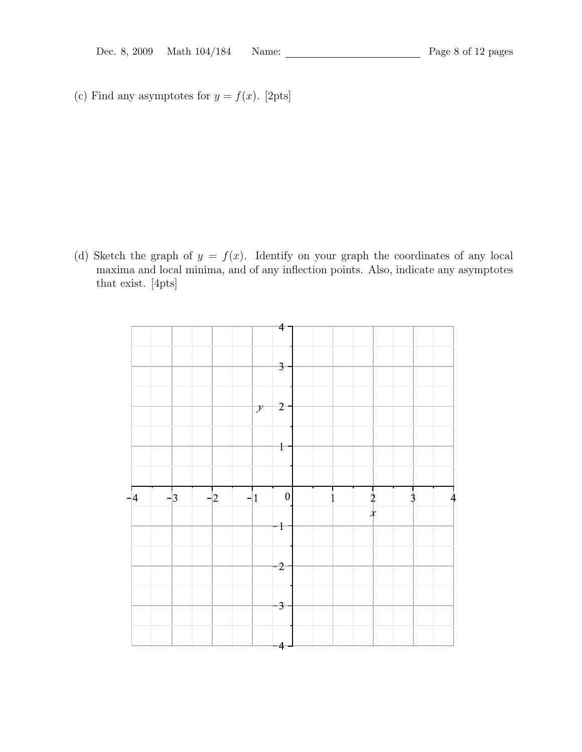(c) Find any asymptotes for  $y = f(x)$ . [2pts]

(d) Sketch the graph of  $y = f(x)$ . Identify on your graph the coordinates of any local maxima and local minima, and of any inflection points. Also, indicate any asymptotes that exist. [4pts]

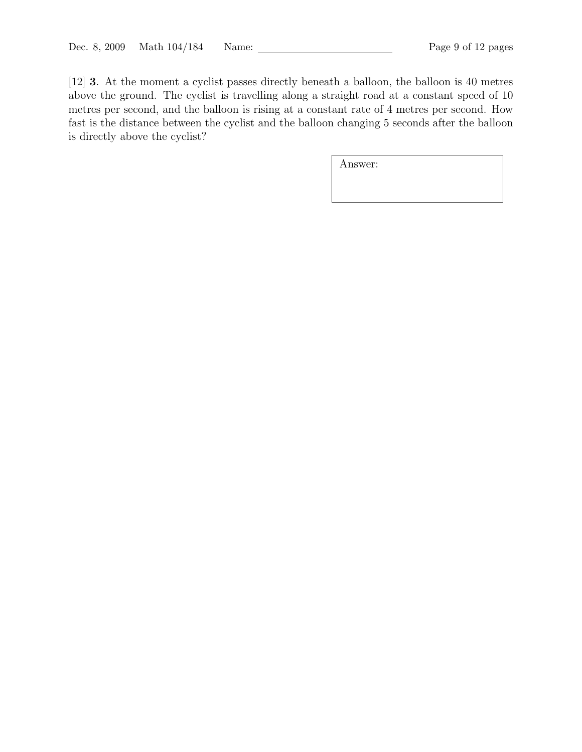[12] 3. At the moment a cyclist passes directly beneath a balloon, the balloon is 40 metres above the ground. The cyclist is travelling along a straight road at a constant speed of 10 metres per second, and the balloon is rising at a constant rate of 4 metres per second. How fast is the distance between the cyclist and the balloon changing 5 seconds after the balloon is directly above the cyclist?

| Answer: |  |  |
|---------|--|--|
|         |  |  |
|         |  |  |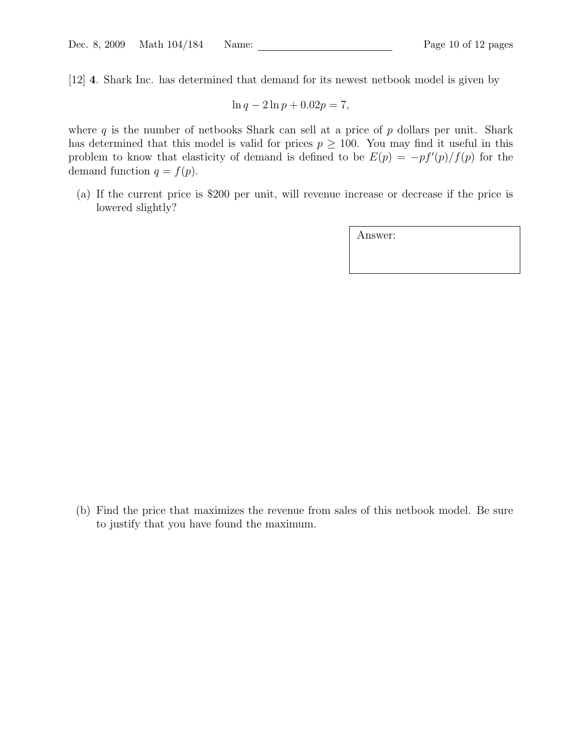[12] 4. Shark Inc. has determined that demand for its newest netbook model is given by

$$
\ln q - 2\ln p + 0.02p = 7,
$$

where q is the number of netbooks Shark can sell at a price of  $p$  dollars per unit. Shark has determined that this model is valid for prices  $p \geq 100$ . You may find it useful in this problem to know that elasticity of demand is defined to be  $E(p) = -pf'(p)/f(p)$  for the demand function  $q = f(p)$ .

(a) If the current price is \$200 per unit, will revenue increase or decrease if the price is lowered slightly?

Answer:

(b) Find the price that maximizes the revenue from sales of this netbook model. Be sure to justify that you have found the maximum.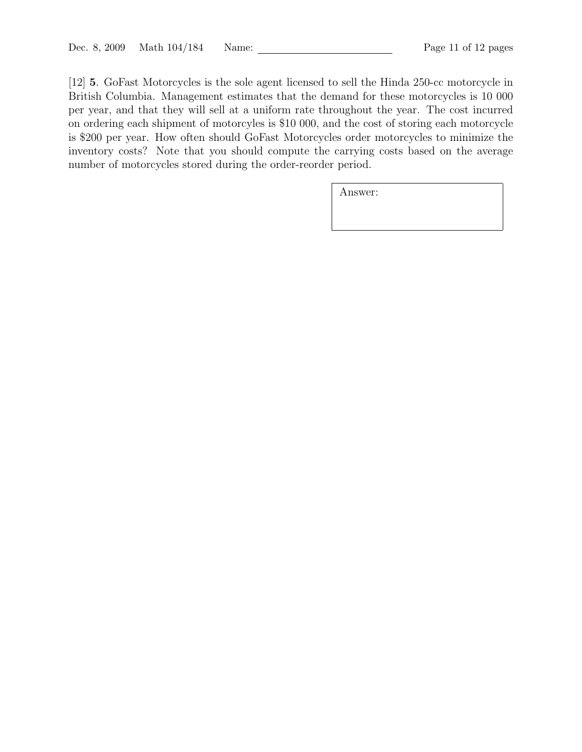[12] 5. GoFast Motorcycles is the sole agent licensed to sell the Hinda 250-cc motorcycle in British Columbia. Management estimates that the demand for these motorcycles is 10 000 per year, and that they will sell at a uniform rate throughout the year. The cost incurred on ordering each shipment of motorcyles is \$10 000, and the cost of storing each motorcycle is \$200 per year. How often should GoFast Motorcycles order motorcycles to minimize the inventory costs? Note that you should compute the carrying costs based on the average number of motorcycles stored during the order-reorder period.